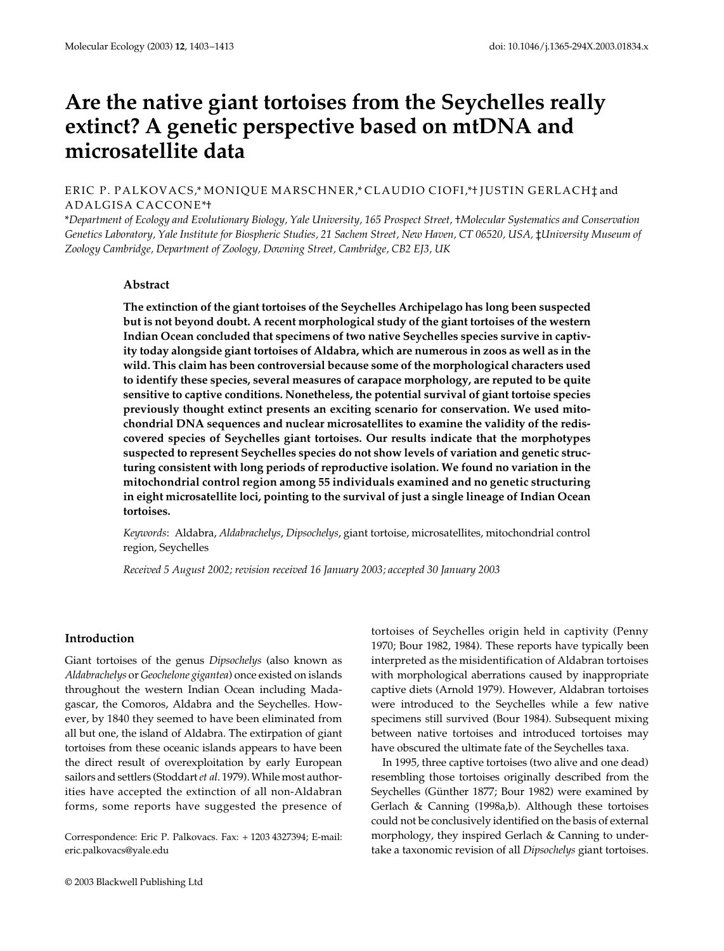# Are the native giant tortoises from the Seychelles really **extinct? A genetic perspective based on mtDNA and microsatellite data**

# ERIC P. PALKOVACS,\* MONIQUE MARSCHNER,\* CLAUDIO CIOFI,\*† JUSTIN GERLACH‡ and ADALGISA CACCONE\*†

\**Department of Ecology and Evolutionary Biology, Yale University, 165 Prospect Street,* †*Molecular Systematics and Conservation Genetics Laboratory, Yale Institute for Biospheric Studies, 21 Sachem Street, New Haven, CT 06520, USA, ‡University Museum of Zoology Cambridge, Department of Zoology, Downing Street, Cambridge, CB2 EJ3, UK* 

# **Abstract**

**The extinction of the giant tortoises of the Seychelles Archipelago has long been suspected but is not beyond doubt. A recent morphological study of the giant tortoises of the western Indian Ocean concluded that specimens of two native Seychelles species survive in captivity today alongside giant tortoises of Aldabra, which are numerous in zoos as well as in the wild. This claim has been controversial because some of the morphological characters used to identify these species, several measures of carapace morphology, are reputed to be quite sensitive to captive conditions. Nonetheless, the potential survival of giant tortoise species previously thought extinct presents an exciting scenario for conservation. We used mitochondrial DNA sequences and nuclear microsatellites to examine the validity of the rediscovered species of Seychelles giant tortoises. Our results indicate that the morphotypes suspected to represent Seychelles species do not show levels of variation and genetic structuring consistent with long periods of reproductive isolation. We found no variation in the mitochondrial control region among 55 individuals examined and no genetic structuring in eight microsatellite loci, pointing to the survival of just a single lineage of Indian Ocean tortoises.**

*Keywords*: Aldabra, *Aldabrachelys*, *Dipsochelys*, giant tortoise, microsatellites, mitochondrial control region, Seychelles

*Received 5 August 2002; revision received 16 January 2003; accepted 30 January 2003*

# **Introduction**

Giant tortoises of the genus *Dipsochelys* (also known as *Aldabrachelys* or *Geochelone gigantea*) once existed on islands throughout the western Indian Ocean including Madagascar, the Comoros, Aldabra and the Seychelles. However, by 1840 they seemed to have been eliminated from all but one, the island of Aldabra. The extirpation of giant tortoises from these oceanic islands appears to have been the direct result of overexploitation by early European sailors and settlers (Stoddart *et al*. 1979). While most authorities have accepted the extinction of all non-Aldabran forms, some reports have suggested the presence of

Correspondence: Eric P. Palkovacs. Fax: + 1203 4327394; E-mail: eric.palkovacs@yale.edu

tortoises of Seychelles origin held in captivity (Penny 1970; Bour 1982, 1984). These reports have typically been interpreted as the misidentification of Aldabran tortoises with morphological aberrations caused by inappropriate captive diets (Arnold 1979). However, Aldabran tortoises were introduced to the Seychelles while a few native specimens still survived (Bour 1984). Subsequent mixing between native tortoises and introduced tortoises may have obscured the ultimate fate of the Seychelles taxa.

In 1995, three captive tortoises (two alive and one dead) resembling those tortoises originally described from the Seychelles (Günther 1877; Bour 1982) were examined by Gerlach & Canning (1998a,b). Although these tortoises could not be conclusively identified on the basis of external morphology, they inspired Gerlach & Canning to undertake a taxonomic revision of all *Dipsochelys* giant tortoises.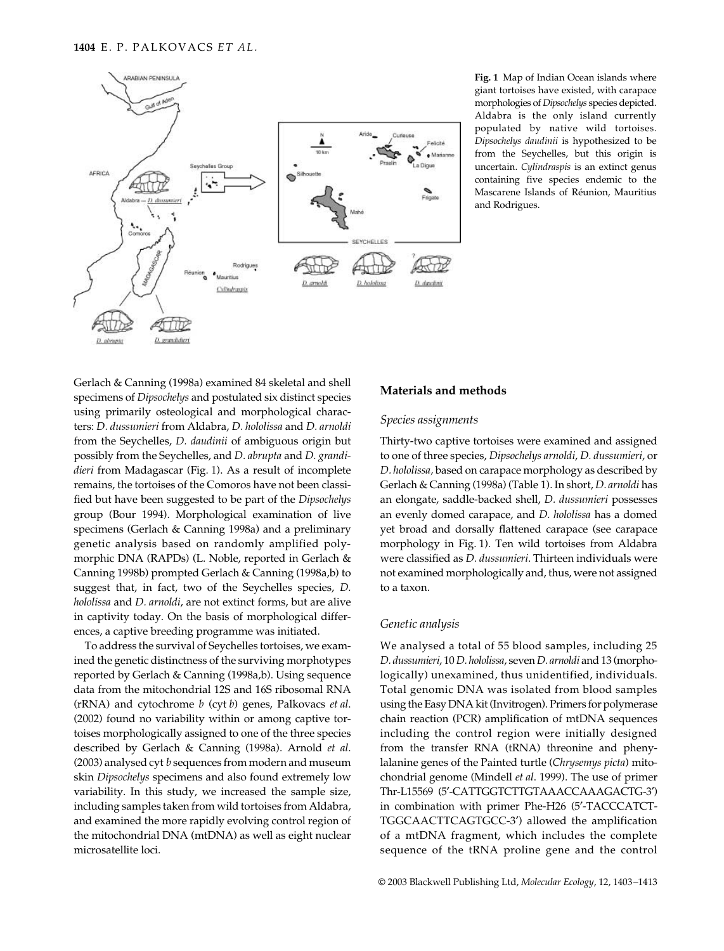

**Fig. 1** Map of Indian Ocean islands where giant tortoises have existed, with carapace morphologies of *Dipsochelys* species depicted. Aldabra is the only island currently populated by native wild tortoises. *Dipsochelys daudinii* is hypothesized to be from the Seychelles, but this origin is uncertain. *Cylindraspis* is an extinct genus containing five species endemic to the Mascarene Islands of Réunion, Mauritius and Rodrigues.

Gerlach & Canning (1998a) examined 84 skeletal and shell specimens of *Dipsochelys* and postulated six distinct species using primarily osteological and morphological characters: *D. dussumieri* from Aldabra, *D. hololissa* and *D. arnoldi* from the Seychelles, *D. daudinii* of ambiguous origin but possibly from the Seychelles, and *D. abrupta* and *D. grandidieri* from Madagascar (Fig. 1). As a result of incomplete remains, the tortoises of the Comoros have not been classified but have been suggested to be part of the *Dipsochelys* group (Bour 1994). Morphological examination of live specimens (Gerlach & Canning 1998a) and a preliminary genetic analysis based on randomly amplified polymorphic DNA (RAPDs) (L. Noble, reported in Gerlach & Canning 1998b) prompted Gerlach & Canning (1998a,b) to suggest that, in fact, two of the Seychelles species, *D. hololissa* and *D. arnoldi*, are not extinct forms, but are alive in captivity today. On the basis of morphological differences, a captive breeding programme was initiated.

To address the survival of Seychelles tortoises, we examined the genetic distinctness of the surviving morphotypes reported by Gerlach & Canning (1998a,b). Using sequence data from the mitochondrial 12S and 16S ribosomal RNA (rRNA) and cytochrome *b* (cyt *b*) genes, Palkovacs *et al*. (2002) found no variability within or among captive tortoises morphologically assigned to one of the three species described by Gerlach & Canning (1998a). Arnold *et al*. (2003) analysed cyt *b* sequences from modern and museum skin *Dipsochelys* specimens and also found extremely low variability. In this study, we increased the sample size, including samples taken from wild tortoises from Aldabra, and examined the more rapidly evolving control region of the mitochondrial DNA (mtDNA) as well as eight nuclear microsatellite loci.

# **Materials and methods**

#### *Species assignments*

Thirty-two captive tortoises were examined and assigned to one of three species, *Dipsochelys arnoldi*, *D. dussumieri*, or *D. hololissa,* based on carapace morphology as described by Gerlach & Canning (1998a) (Table 1). In short, *D. arnoldi* has an elongate, saddle-backed shell, *D. dussumieri* possesses an evenly domed carapace, and *D. hololissa* has a domed yet broad and dorsally flattened carapace (see carapace morphology in Fig. 1). Ten wild tortoises from Aldabra were classified as *D. dussumieri*. Thirteen individuals were not examined morphologically and, thus, were not assigned to a taxon.

#### *Genetic analysis*

We analysed a total of 55 blood samples, including 25 *D. dussumieri*, 10 *D. hololissa*, seven *D. arnoldi* and 13 (morphologically) unexamined, thus unidentified, individuals. Total genomic DNA was isolated from blood samples using the Easy DNA kit (Invitrogen). Primers for polymerase chain reaction (PCR) amplification of mtDNA sequences including the control region were initially designed from the transfer RNA (tRNA) threonine and phenylalanine genes of the Painted turtle (*Chrysemys picta*) mitochondrial genome (Mindell *et al*. 1999). The use of primer Thr-L15569 (5′-CATTGGTCTTGTAAACCAAAGACTG-3′) in combination with primer Phe-H26 (5′-TACCCATCT-TGGCAACTTCAGTGCC-3′) allowed the amplification of a mtDNA fragment, which includes the complete sequence of the tRNA proline gene and the control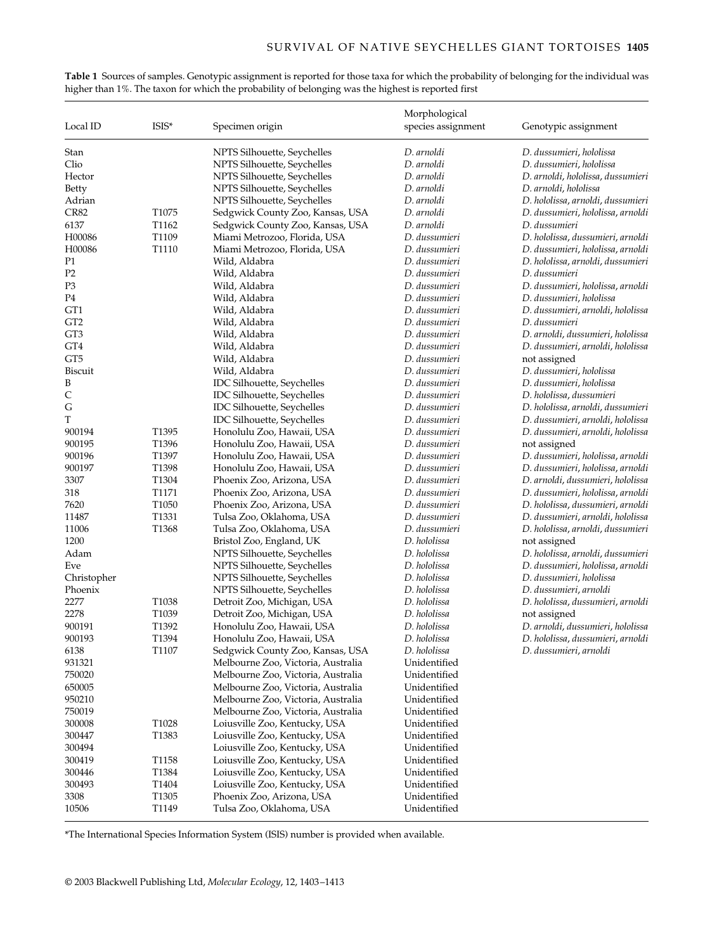|                 |                   |                                    | Morphological      |                                   |  |  |
|-----------------|-------------------|------------------------------------|--------------------|-----------------------------------|--|--|
| Local ID        | ISIS*             | Specimen origin                    | species assignment | Genotypic assignment              |  |  |
| Stan            |                   | NPTS Silhouette, Seychelles        | D. arnoldi         | D. dussumieri, hololissa          |  |  |
| Clio            |                   | NPTS Silhouette, Seychelles        | D. arnoldi         | D. dussumieri, hololissa          |  |  |
| Hector          |                   | NPTS Silhouette, Seychelles        | D. arnoldi         | D. arnoldi, hololissa, dussumieri |  |  |
| Betty           |                   | NPTS Silhouette, Seychelles        | D. arnoldi         | D. arnoldi, hololissa             |  |  |
| Adrian          |                   | NPTS Silhouette, Seychelles        | D. arnoldi         | D. hololissa, arnoldi, dussumieri |  |  |
| <b>CR82</b>     | T <sub>1075</sub> | Sedgwick County Zoo, Kansas, USA   | D. arnoldi         | D. dussumieri, hololissa, arnoldi |  |  |
| 6137            | T1162             | Sedgwick County Zoo, Kansas, USA   | D. arnoldi         | D. dussumieri                     |  |  |
| H00086          | T1109             | Miami Metrozoo, Florida, USA       | D. dussumieri      | D. hololissa, dussumieri, arnoldi |  |  |
| H00086          | T1110             | Miami Metrozoo, Florida, USA       | D. dussumieri      | D. dussumieri, hololissa, arnoldi |  |  |
| P1              |                   | Wild, Aldabra                      | D. dussumieri      | D. hololissa, arnoldi, dussumieri |  |  |
| P <sub>2</sub>  |                   | Wild, Aldabra                      | D. dussumieri      | D. dussumieri                     |  |  |
| P3              |                   | Wild, Aldabra                      | D. dussumieri      | D. dussumieri, hololissa, arnoldi |  |  |
| P4              |                   | Wild, Aldabra                      | D. dussumieri      | D. dussumieri, hololissa          |  |  |
| GT1             |                   | Wild, Aldabra                      | D. dussumieri      | D. dussumieri, arnoldi, hololissa |  |  |
| GT <sub>2</sub> |                   | Wild, Aldabra                      | D. dussumieri      | D. dussumieri                     |  |  |
| GT3             |                   | Wild, Aldabra                      | D. dussumieri      | D. arnoldi, dussumieri, hololissa |  |  |
| GT4             |                   | Wild, Aldabra                      | D. dussumieri      | D. dussumieri, arnoldi, hololissa |  |  |
| GT <sub>5</sub> |                   | Wild, Aldabra                      | D. dussumieri      | not assigned                      |  |  |
| Biscuit         |                   | Wild, Aldabra                      | D. dussumieri      | D. dussumieri, hololissa          |  |  |
| B               |                   | IDC Silhouette, Seychelles         | D. dussumieri      | D. dussumieri, hololissa          |  |  |
| C               |                   | <b>IDC</b> Silhouette, Seychelles  | D. dussumieri      | D. hololissa, dussumieri          |  |  |
| G               |                   | IDC Silhouette, Seychelles         | D. dussumieri      | D. hololissa, arnoldi, dussumieri |  |  |
| T               |                   | IDC Silhouette, Seychelles         | D. dussumieri      | D. dussumieri, arnoldi, hololissa |  |  |
| 900194          | T1395             | Honolulu Zoo, Hawaii, USA          | D. dussumieri      | D. dussumieri, arnoldi, hololissa |  |  |
| 900195          | T1396             | Honolulu Zoo, Hawaii, USA          | D. dussumieri      | not assigned                      |  |  |
| 900196          | T1397             | Honolulu Zoo, Hawaii, USA          | D. dussumieri      | D. dussumieri, hololissa, arnoldi |  |  |
| 900197          | T1398             | Honolulu Zoo, Hawaii, USA          | D. dussumieri      | D. dussumieri, hololissa, arnoldi |  |  |
| 3307            | T1304             | Phoenix Zoo, Arizona, USA          | D. dussumieri      | D. arnoldi, dussumieri, hololissa |  |  |
| 318             | T1171             | Phoenix Zoo, Arizona, USA          | D. dussumieri      | D. dussumieri, hololissa, arnoldi |  |  |
| 7620            | T1050             | Phoenix Zoo, Arizona, USA          | D. dussumieri      | D. hololissa, dussumieri, arnoldi |  |  |
| 11487           | T1331             | Tulsa Zoo, Oklahoma, USA           | D. dussumieri      | D. dussumieri, arnoldi, hololissa |  |  |
| 11006           | T1368             | Tulsa Zoo, Oklahoma, USA           | D. dussumieri      | D. hololissa, arnoldi, dussumieri |  |  |
| 1200            |                   | Bristol Zoo, England, UK           | D. hololissa       | not assigned                      |  |  |
| Adam            |                   | NPTS Silhouette, Seychelles        | D. hololissa       | D. hololissa, arnoldi, dussumieri |  |  |
| Eve             |                   | NPTS Silhouette, Seychelles        | D. hololissa       | D. dussumieri, hololissa, arnoldi |  |  |
| Christopher     |                   | NPTS Silhouette, Seychelles        | D. hololissa       | D. dussumieri, hololissa          |  |  |
| Phoenix         |                   | NPTS Silhouette, Seychelles        | D. hololissa       | D. dussumieri, arnoldi            |  |  |
| 2277            | T1038             | Detroit Zoo, Michigan, USA         | D. hololissa       | D. hololissa, dussumieri, arnoldi |  |  |
| 2278            | T1039             | Detroit Zoo, Michigan, USA         | D. hololissa       | not assigned                      |  |  |
| 900191          | T1392             | Honolulu Zoo, Hawaii, USA          | D. hololissa       | D. arnoldi, dussumieri, hololissa |  |  |
| 900193          | T1394             | Honolulu Zoo, Hawaii, USA          | D. hololissa       | D. hololissa, dussumieri, arnoldi |  |  |
| 6138            | 11107             | Sedgwick County Zoo, Kansas, USA   | D. hololissa       | D. dussumieri, arnoldi            |  |  |
| 931321          |                   | Melbourne Zoo, Victoria, Australia | Unidentified       |                                   |  |  |
| 750020          |                   | Melbourne Zoo, Victoria, Australia | Unidentified       |                                   |  |  |
| 650005          |                   | Melbourne Zoo, Victoria, Australia | Unidentified       |                                   |  |  |
| 950210          |                   | Melbourne Zoo, Victoria, Australia | Unidentified       |                                   |  |  |
| 750019          |                   | Melbourne Zoo, Victoria, Australia | Unidentified       |                                   |  |  |
| 300008          | T1028             | Loiusville Zoo, Kentucky, USA      | Unidentified       |                                   |  |  |
| 300447          | T1383             | Loiusville Zoo, Kentucky, USA      | Unidentified       |                                   |  |  |
| 300494          |                   | Loiusville Zoo, Kentucky, USA      | Unidentified       |                                   |  |  |
| 300419          | T1158             | Loiusville Zoo, Kentucky, USA      | Unidentified       |                                   |  |  |
| 300446          | T1384             | Loiusville Zoo, Kentucky, USA      | Unidentified       |                                   |  |  |
| 300493          | T1404             | Loiusville Zoo, Kentucky, USA      | Unidentified       |                                   |  |  |
| 3308            | T1305             | Phoenix Zoo, Arizona, USA          | Unidentified       |                                   |  |  |
| 10506           | T1149             | Tulsa Zoo, Oklahoma, USA           | Unidentified       |                                   |  |  |

**Table 1** Sources of samples. Genotypic assignment is reported for those taxa for which the probability of belonging for the individual was higher than 1%. The taxon for which the probability of belonging was the highest is reported first

\*The International Species Information System (ISIS) number is provided when available.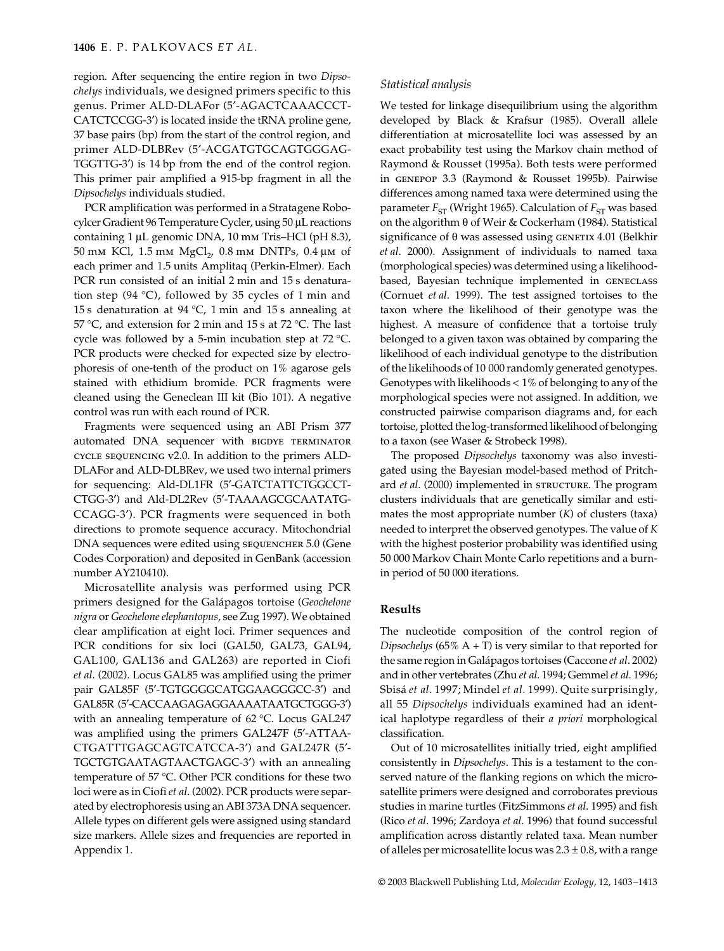region. After sequencing the entire region in two *Dipsochelys* individuals, we designed primers specific to this genus. Primer ALD-DLAFor (5′-AGACTCAAACCCT-CATCTCCGG-3′) is located inside the tRNA proline gene, 37 base pairs (bp) from the start of the control region, and primer ALD-DLBRev (5′-ACGATGTGCAGTGGGAG-TGGTTG-3′) is 14 bp from the end of the control region. This primer pair amplified a 915-bp fragment in all the *Dipsochelys* individuals studied.

PCR amplification was performed in a Stratagene Robocylcer Gradient 96 Temperature Cycler, using 50 µL reactions containing 1 µL genomic DNA, 10 mm Tris–HCl (pH 8.3), 50 mm KCl, 1.5 mm  $MgCl<sub>2</sub>$ , 0.8 mm DNTPs, 0.4 µm of each primer and 1.5 units Amplitaq (Perkin-Elmer). Each PCR run consisted of an initial 2 min and 15 s denaturation step (94 °C), followed by 35 cycles of 1 min and 15 s denaturation at 94 °C, 1 min and 15 s annealing at 57 °C, and extension for 2 min and 15 s at 72 °C. The last cycle was followed by a 5-min incubation step at 72 °C. PCR products were checked for expected size by electrophoresis of one-tenth of the product on 1% agarose gels stained with ethidium bromide. PCR fragments were cleaned using the Geneclean III kit (Bio 101). A negative control was run with each round of PCR.

Fragments were sequenced using an ABI Prism 377 automated DNA sequencer with BIGDYE TERMINATOR cycle sequencing v2.0. In addition to the primers ALD-DLAFor and ALD-DLBRev, we used two internal primers for sequencing: Ald-DL1FR (5′-GATCTATTCTGGCCT-CTGG-3′) and Ald-DL2Rev (5′-TAAAAGCGCAATATG-CCAGG-3′). PCR fragments were sequenced in both directions to promote sequence accuracy. Mitochondrial DNA sequences were edited using SEQUENCHER 5.0 (Gene Codes Corporation) and deposited in GenBank (accession number AY210410).

Microsatellite analysis was performed using PCR primers designed for the Galápagos tortoise (*Geochelone nigra* or *Geochelone elephantopus*, see Zug 1997). We obtained clear amplification at eight loci. Primer sequences and PCR conditions for six loci (GAL50, GAL73, GAL94, GAL100, GAL136 and GAL263) are reported in Ciofi *et al*. (2002). Locus GAL85 was amplified using the primer pair GAL85F (5′-TGTGGGGCATGGAAGGGCC-3′) and GAL85R (5′-CACCAAGAGAGGAAAATAATGCTGGG-3′) with an annealing temperature of 62 °C. Locus GAL247 was amplified using the primers GAL247F (5′-ATTAA-CTGATTTGAGCAGTCATCCA-3′) and GAL247R (5′- TGCTGTGAATAGTAACTGAGC-3′) with an annealing temperature of 57 °C. Other PCR conditions for these two loci were as in Ciofi *et al*. (2002). PCR products were separated by electrophoresis using an ABI 373A DNA sequencer. Allele types on different gels were assigned using standard size markers. Allele sizes and frequencies are reported in Appendix 1.

## *Statistical analysis*

We tested for linkage disequilibrium using the algorithm developed by Black & Krafsur (1985). Overall allele differentiation at microsatellite loci was assessed by an exact probability test using the Markov chain method of Raymond & Rousset (1995a). Both tests were performed in genepop 3.3 (Raymond & Rousset 1995b). Pairwise differences among named taxa were determined using the parameter  $F_{ST}$  (Wright 1965). Calculation of  $F_{ST}$  was based on the algorithm θ of Weir & Cockerham (1984). Statistical significance of  $\theta$  was assessed using GENETIX 4.01 (Belkhir *et al*. 2000). Assignment of individuals to named taxa (morphological species) was determined using a likelihoodbased, Bayesian technique implemented in GENECLASS (Cornuet *et al*. 1999). The test assigned tortoises to the taxon where the likelihood of their genotype was the highest. A measure of confidence that a tortoise truly belonged to a given taxon was obtained by comparing the likelihood of each individual genotype to the distribution of the likelihoods of 10 000 randomly generated genotypes. Genotypes with likelihoods < 1% of belonging to any of the morphological species were not assigned. In addition, we constructed pairwise comparison diagrams and, for each tortoise, plotted the log-transformed likelihood of belonging to a taxon (see Waser & Strobeck 1998).

The proposed *Dipsochelys* taxonomy was also investigated using the Bayesian model-based method of Pritchard *et al.* (2000) implemented in STRUCTURE. The program clusters individuals that are genetically similar and estimates the most appropriate number (*K*) of clusters (taxa) needed to interpret the observed genotypes. The value of *K* with the highest posterior probability was identified using 50 000 Markov Chain Monte Carlo repetitions and a burnin period of 50 000 iterations.

# **Results**

The nucleotide composition of the control region of *Dipsochelys* (65% A + T) is very similar to that reported for the same region in Galápagos tortoises (Caccone *et al*. 2002) and in other vertebrates (Zhu *et al*. 1994; Gemmel *et al*. 1996; Sbisá *et al*. 1997; Mindel *et al*. 1999). Quite surprisingly, all 55 *Dipsochelys* individuals examined had an identical haplotype regardless of their *a priori* morphological classification.

Out of 10 microsatellites initially tried, eight amplified consistently in *Dipsochelys*. This is a testament to the conserved nature of the flanking regions on which the microsatellite primers were designed and corroborates previous studies in marine turtles (FitzSimmons *et al*. 1995) and fish (Rico *et al*. 1996; Zardoya *et al*. 1996) that found successful amplification across distantly related taxa. Mean number of alleles per microsatellite locus was  $2.3 \pm 0.8$ , with a range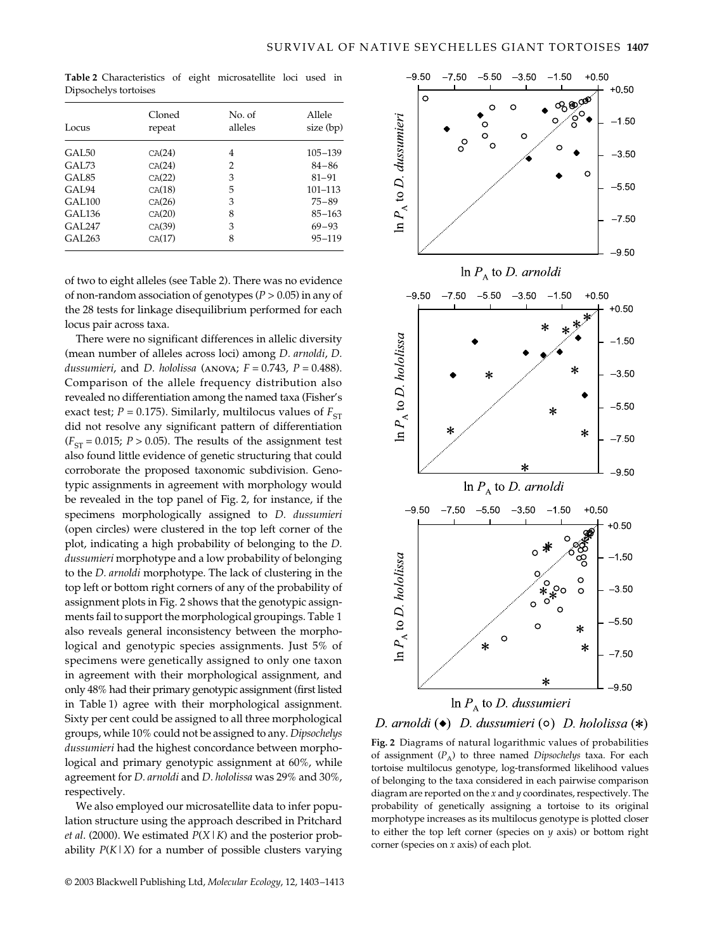**Table 2** Characteristics of eight microsatellite loci used in Dipsochelys tortoises

| Locus              | Cloned<br>repeat | No. of<br>alleles | Allele<br>size (bp) |  |  |
|--------------------|------------------|-------------------|---------------------|--|--|
| GAI <sub>50</sub>  | CA(24)           | 4                 | $105 - 139$         |  |  |
| GAL 73             | CA(24)           | 2                 | $84 - 86$           |  |  |
| GAL <sub>85</sub>  | CA(22)           | 3                 | $81 - 91$           |  |  |
| GAL <sub>94</sub>  | CA(18)           | 5                 | $101 - 113$         |  |  |
| GAL <sub>100</sub> | CA(26)           | 3                 | $75 - 89$           |  |  |
| GAL <sub>136</sub> | CA(20)           | 8                 | $85 - 163$          |  |  |
| <b>GAL247</b>      | CA(39)           | 3                 | $69 - 93$           |  |  |
| GAL <sub>263</sub> | CA(17)           | 8                 | $95 - 119$          |  |  |

of two to eight alleles (see Table 2). There was no evidence of non-random association of genotypes (*P* > 0.05) in any of the 28 tests for linkage disequilibrium performed for each locus pair across taxa.

There were no significant differences in allelic diversity (mean number of alleles across loci) among *D. arnoldi*, *D. dussumieri*, and *D. hololissa* (anova; *F* = 0.743, *P* = 0.488). Comparison of the allele frequency distribution also revealed no differentiation among the named taxa (Fisher's exact test;  $P = 0.175$ ). Similarly, multilocus values of  $F_{ST}$ did not resolve any significant pattern of differentiation  $(F_{ST} = 0.015; P > 0.05)$ . The results of the assignment test also found little evidence of genetic structuring that could corroborate the proposed taxonomic subdivision. Genotypic assignments in agreement with morphology would be revealed in the top panel of Fig. 2, for instance, if the specimens morphologically assigned to *D. dussumieri* (open circles) were clustered in the top left corner of the plot, indicating a high probability of belonging to the *D. dussumieri* morphotype and a low probability of belonging to the *D. arnoldi* morphotype. The lack of clustering in the top left or bottom right corners of any of the probability of assignment plots in Fig. 2 shows that the genotypic assignments fail to support the morphological groupings. Table 1 also reveals general inconsistency between the morphological and genotypic species assignments. Just 5% of specimens were genetically assigned to only one taxon in agreement with their morphological assignment, and only 48% had their primary genotypic assignment (first listed in Table 1) agree with their morphological assignment. Sixty per cent could be assigned to all three morphological groups, while 10% could not be assigned to any. *Dipsochelys dussumieri* had the highest concordance between morphological and primary genotypic assignment at 60%, while agreement for *D. arnoldi* and *D. hololissa* was 29% and 30%, respectively.

We also employed our microsatellite data to infer population structure using the approach described in Pritchard *et al*. (2000). We estimated *P*(*X*|*K*) and the posterior probability  $P(K|X)$  for a number of possible clusters varying



D. arnoldi ( $\bullet$ ) D. dussumieri ( $\circ$ ) D. hololissa (\*)

**Fig. 2** Diagrams of natural logarithmic values of probabilities of assignment ( $P_A$ ) to three named *Dipsochelys* taxa. For each tortoise multilocus genotype, log-transformed likelihood values of belonging to the taxa considered in each pairwise comparison diagram are reported on the *x* and *y* coordinates, respectively. The probability of genetically assigning a tortoise to its original morphotype increases as its multilocus genotype is plotted closer to either the top left corner (species on *y* axis) or bottom right corner (species on *x* axis) of each plot.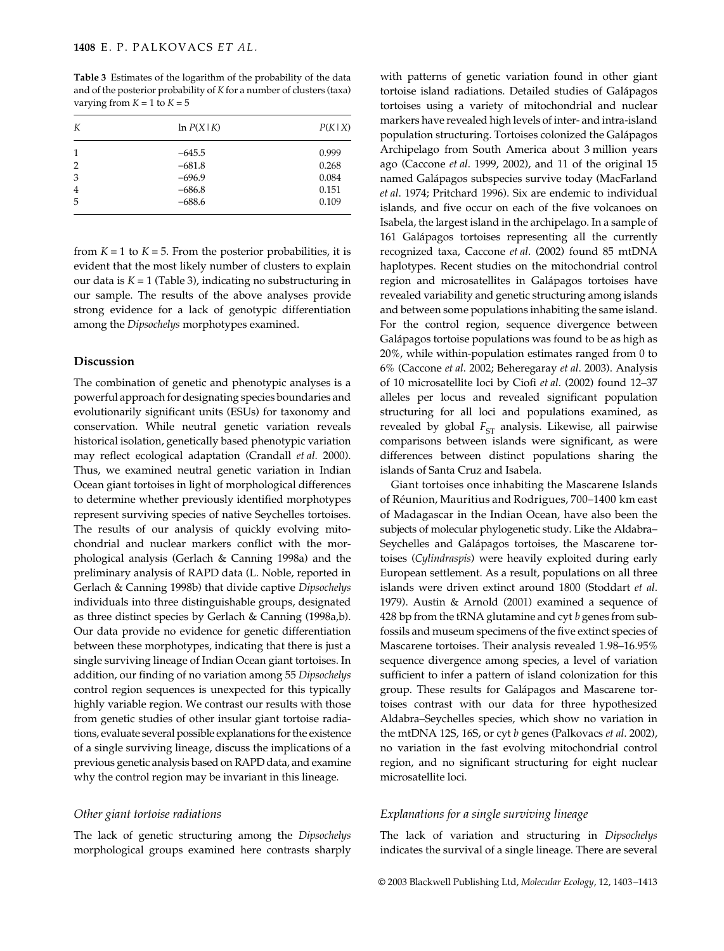**Table 3** Estimates of the logarithm of the probability of the data and of the posterior probability of *K* for a number of clusters (taxa) varying from  $K = 1$  to  $K = 5$ 

| К              | $\ln P(X K)$ | P(K X) |  |  |
|----------------|--------------|--------|--|--|
| 1              | $-645.5$     | 0.999  |  |  |
| $\overline{2}$ | $-681.8$     | 0.268  |  |  |
| 3              | $-696.9$     | 0.084  |  |  |
| 4              | $-686.8$     | 0.151  |  |  |
| 5              | $-688.6$     | 0.109  |  |  |
|                |              |        |  |  |

from  $K = 1$  to  $K = 5$ . From the posterior probabilities, it is evident that the most likely number of clusters to explain our data is  $K = 1$  (Table 3), indicating no substructuring in our sample. The results of the above analyses provide strong evidence for a lack of genotypic differentiation among the *Dipsochelys* morphotypes examined.

#### **Discussion**

The combination of genetic and phenotypic analyses is a powerful approach for designating species boundaries and evolutionarily significant units (ESUs) for taxonomy and conservation. While neutral genetic variation reveals historical isolation, genetically based phenotypic variation may reflect ecological adaptation (Crandall *et al*. 2000). Thus, we examined neutral genetic variation in Indian Ocean giant tortoises in light of morphological differences to determine whether previously identified morphotypes represent surviving species of native Seychelles tortoises. The results of our analysis of quickly evolving mitochondrial and nuclear markers conflict with the morphological analysis (Gerlach & Canning 1998a) and the preliminary analysis of RAPD data (L. Noble, reported in Gerlach & Canning 1998b) that divide captive *Dipsochelys* individuals into three distinguishable groups, designated as three distinct species by Gerlach & Canning (1998a,b). Our data provide no evidence for genetic differentiation between these morphotypes, indicating that there is just a single surviving lineage of Indian Ocean giant tortoises. In addition, our finding of no variation among 55 *Dipsochelys* control region sequences is unexpected for this typically highly variable region. We contrast our results with those from genetic studies of other insular giant tortoise radiations, evaluate several possible explanations for the existence of a single surviving lineage, discuss the implications of a previous genetic analysis based on RAPD data, and examine why the control region may be invariant in this lineage.

#### *Other giant tortoise radiations*

The lack of genetic structuring among the *Dipsochelys* morphological groups examined here contrasts sharply

with patterns of genetic variation found in other giant tortoise island radiations. Detailed studies of Galápagos tortoises using a variety of mitochondrial and nuclear markers have revealed high levels of inter- and intra-island population structuring. Tortoises colonized the Galápagos Archipelago from South America about 3 million years ago (Caccone *et al*. 1999, 2002), and 11 of the original 15 named Galápagos subspecies survive today (MacFarland *et al*. 1974; Pritchard 1996). Six are endemic to individual islands, and five occur on each of the five volcanoes on Isabela, the largest island in the archipelago. In a sample of 161 Galápagos tortoises representing all the currently recognized taxa, Caccone *et al*. (2002) found 85 mtDNA haplotypes. Recent studies on the mitochondrial control region and microsatellites in Galápagos tortoises have revealed variability and genetic structuring among islands and between some populations inhabiting the same island. For the control region, sequence divergence between Galápagos tortoise populations was found to be as high as 20%, while within-population estimates ranged from 0 to 6% (Caccone *et al*. 2002; Beheregaray *et al*. 2003). Analysis of 10 microsatellite loci by Ciofi *et al*. (2002) found 12–37 alleles per locus and revealed significant population structuring for all loci and populations examined, as revealed by global  $F_{ST}$  analysis. Likewise, all pairwise comparisons between islands were significant, as were differences between distinct populations sharing the islands of Santa Cruz and Isabela.

Giant tortoises once inhabiting the Mascarene Islands of Réunion, Mauritius and Rodrigues, 700–1400 km east of Madagascar in the Indian Ocean, have also been the subjects of molecular phylogenetic study. Like the Aldabra– Seychelles and Galápagos tortoises, the Mascarene tortoises (*Cylindraspis*) were heavily exploited during early European settlement. As a result, populations on all three islands were driven extinct around 1800 (Stoddart *et al*. 1979). Austin & Arnold (2001) examined a sequence of 428 bp from the tRNA glutamine and cyt *b* genes from subfossils and museum specimens of the five extinct species of Mascarene tortoises. Their analysis revealed 1.98–16.95% sequence divergence among species, a level of variation sufficient to infer a pattern of island colonization for this group. These results for Galápagos and Mascarene tortoises contrast with our data for three hypothesized Aldabra–Seychelles species, which show no variation in the mtDNA 12S, 16S, or cyt *b* genes (Palkovacs *et al*. 2002), no variation in the fast evolving mitochondrial control region, and no significant structuring for eight nuclear microsatellite loci.

#### *Explanations for a single surviving lineage*

The lack of variation and structuring in *Dipsochelys* indicates the survival of a single lineage. There are several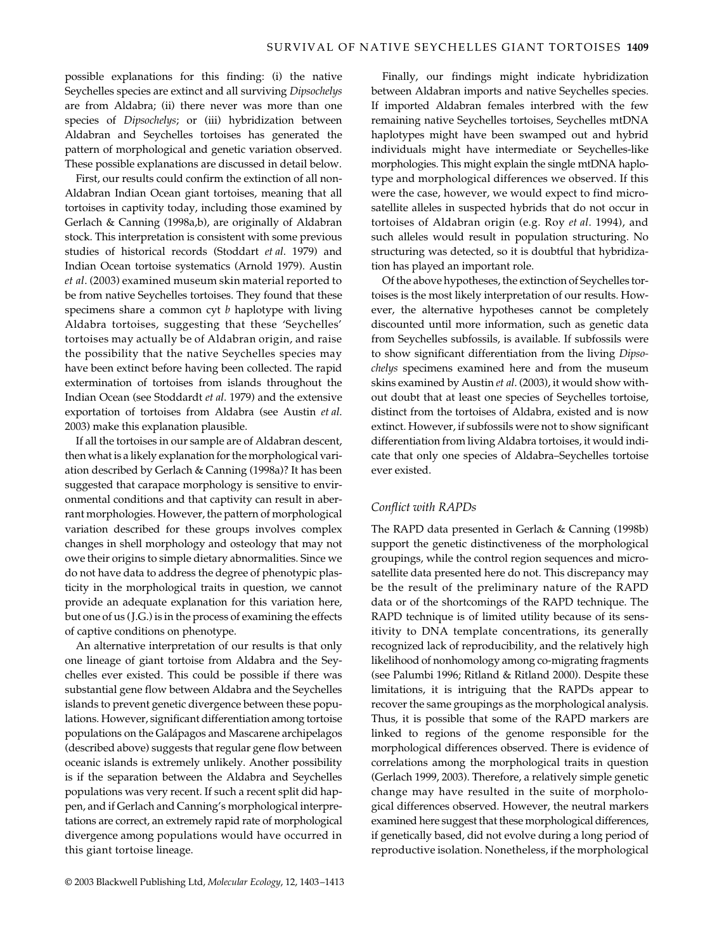possible explanations for this finding: (i) the native Seychelles species are extinct and all surviving *Dipsochelys* are from Aldabra; (ii) there never was more than one species of *Dipsochelys*; or (iii) hybridization between Aldabran and Seychelles tortoises has generated the pattern of morphological and genetic variation observed. These possible explanations are discussed in detail below.

First, our results could confirm the extinction of all non-Aldabran Indian Ocean giant tortoises, meaning that all tortoises in captivity today, including those examined by Gerlach & Canning (1998a,b), are originally of Aldabran stock. This interpretation is consistent with some previous studies of historical records (Stoddart *et al*. 1979) and Indian Ocean tortoise systematics (Arnold 1979). Austin *et al*. (2003) examined museum skin material reported to be from native Seychelles tortoises. They found that these specimens share a common cyt *b* haplotype with living Aldabra tortoises, suggesting that these 'Seychelles' tortoises may actually be of Aldabran origin, and raise the possibility that the native Seychelles species may have been extinct before having been collected. The rapid extermination of tortoises from islands throughout the Indian Ocean (see Stoddardt *et al*. 1979) and the extensive exportation of tortoises from Aldabra (see Austin *et al*. 2003) make this explanation plausible.

If all the tortoises in our sample are of Aldabran descent, then what is a likely explanation for the morphological variation described by Gerlach & Canning (1998a)? It has been suggested that carapace morphology is sensitive to environmental conditions and that captivity can result in aberrant morphologies. However, the pattern of morphological variation described for these groups involves complex changes in shell morphology and osteology that may not owe their origins to simple dietary abnormalities. Since we do not have data to address the degree of phenotypic plasticity in the morphological traits in question, we cannot provide an adequate explanation for this variation here, but one of us (J.G.) is in the process of examining the effects of captive conditions on phenotype.

An alternative interpretation of our results is that only one lineage of giant tortoise from Aldabra and the Seychelles ever existed. This could be possible if there was substantial gene flow between Aldabra and the Seychelles islands to prevent genetic divergence between these populations. However, significant differentiation among tortoise populations on the Galápagos and Mascarene archipelagos (described above) suggests that regular gene flow between oceanic islands is extremely unlikely. Another possibility is if the separation between the Aldabra and Seychelles populations was very recent. If such a recent split did happen, and if Gerlach and Canning's morphological interpretations are correct, an extremely rapid rate of morphological divergence among populations would have occurred in this giant tortoise lineage.

Finally, our findings might indicate hybridization between Aldabran imports and native Seychelles species. If imported Aldabran females interbred with the few remaining native Seychelles tortoises, Seychelles mtDNA haplotypes might have been swamped out and hybrid individuals might have intermediate or Seychelles-like morphologies. This might explain the single mtDNA haplotype and morphological differences we observed. If this were the case, however, we would expect to find microsatellite alleles in suspected hybrids that do not occur in tortoises of Aldabran origin (e.g. Roy *et al*. 1994), and such alleles would result in population structuring. No structuring was detected, so it is doubtful that hybridization has played an important role.

Of the above hypotheses, the extinction of Seychelles tortoises is the most likely interpretation of our results. However, the alternative hypotheses cannot be completely discounted until more information, such as genetic data from Seychelles subfossils, is available. If subfossils were to show significant differentiation from the living *Dipsochelys* specimens examined here and from the museum skins examined by Austin *et al*. (2003), it would show without doubt that at least one species of Seychelles tortoise, distinct from the tortoises of Aldabra, existed and is now extinct. However, if subfossils were not to show significant differentiation from living Aldabra tortoises, it would indicate that only one species of Aldabra–Seychelles tortoise ever existed.

#### *Conflict with RAPDs*

The RAPD data presented in Gerlach & Canning (1998b) support the genetic distinctiveness of the morphological groupings, while the control region sequences and microsatellite data presented here do not. This discrepancy may be the result of the preliminary nature of the RAPD data or of the shortcomings of the RAPD technique. The RAPD technique is of limited utility because of its sensitivity to DNA template concentrations, its generally recognized lack of reproducibility, and the relatively high likelihood of nonhomology among co-migrating fragments (see Palumbi 1996; Ritland & Ritland 2000). Despite these limitations, it is intriguing that the RAPDs appear to recover the same groupings as the morphological analysis. Thus, it is possible that some of the RAPD markers are linked to regions of the genome responsible for the morphological differences observed. There is evidence of correlations among the morphological traits in question (Gerlach 1999, 2003). Therefore, a relatively simple genetic change may have resulted in the suite of morphological differences observed. However, the neutral markers examined here suggest that these morphological differences, if genetically based, did not evolve during a long period of reproductive isolation. Nonetheless, if the morphological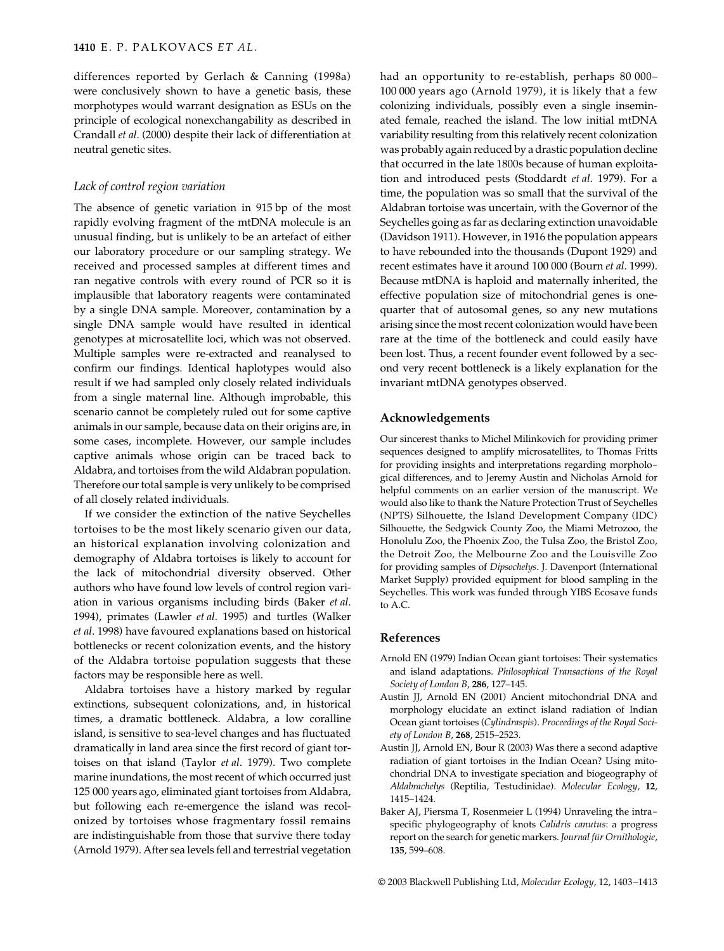differences reported by Gerlach & Canning (1998a) were conclusively shown to have a genetic basis, these morphotypes would warrant designation as ESUs on the principle of ecological nonexchangability as described in Crandall *et al*. (2000) despite their lack of differentiation at neutral genetic sites.

# *Lack of control region variation*

The absence of genetic variation in 915 bp of the most rapidly evolving fragment of the mtDNA molecule is an unusual finding, but is unlikely to be an artefact of either our laboratory procedure or our sampling strategy. We received and processed samples at different times and ran negative controls with every round of PCR so it is implausible that laboratory reagents were contaminated by a single DNA sample. Moreover, contamination by a single DNA sample would have resulted in identical genotypes at microsatellite loci, which was not observed. Multiple samples were re-extracted and reanalysed to confirm our findings. Identical haplotypes would also result if we had sampled only closely related individuals from a single maternal line. Although improbable, this scenario cannot be completely ruled out for some captive animals in our sample, because data on their origins are, in some cases, incomplete. However, our sample includes captive animals whose origin can be traced back to Aldabra, and tortoises from the wild Aldabran population. Therefore our total sample is very unlikely to be comprised of all closely related individuals.

If we consider the extinction of the native Seychelles tortoises to be the most likely scenario given our data, an historical explanation involving colonization and demography of Aldabra tortoises is likely to account for the lack of mitochondrial diversity observed. Other authors who have found low levels of control region variation in various organisms including birds (Baker *et al*. 1994), primates (Lawler *et al*. 1995) and turtles (Walker *et al*. 1998) have favoured explanations based on historical bottlenecks or recent colonization events, and the history of the Aldabra tortoise population suggests that these factors may be responsible here as well.

Aldabra tortoises have a history marked by regular extinctions, subsequent colonizations, and, in historical times, a dramatic bottleneck. Aldabra, a low coralline island, is sensitive to sea-level changes and has fluctuated dramatically in land area since the first record of giant tortoises on that island (Taylor *et al*. 1979). Two complete marine inundations, the most recent of which occurred just 125 000 years ago, eliminated giant tortoises from Aldabra, but following each re-emergence the island was recolonized by tortoises whose fragmentary fossil remains are indistinguishable from those that survive there today (Arnold 1979). After sea levels fell and terrestrial vegetation had an opportunity to re-establish, perhaps 80 000– 100 000 years ago (Arnold 1979), it is likely that a few colonizing individuals, possibly even a single inseminated female, reached the island. The low initial mtDNA variability resulting from this relatively recent colonization was probably again reduced by a drastic population decline that occurred in the late 1800s because of human exploitation and introduced pests (Stoddardt *et al*. 1979). For a time, the population was so small that the survival of the Aldabran tortoise was uncertain, with the Governor of the Seychelles going as far as declaring extinction unavoidable (Davidson 1911). However, in 1916 the population appears to have rebounded into the thousands (Dupont 1929) and recent estimates have it around 100 000 (Bourn *et al*. 1999). Because mtDNA is haploid and maternally inherited, the effective population size of mitochondrial genes is onequarter that of autosomal genes, so any new mutations arising since the most recent colonization would have been rare at the time of the bottleneck and could easily have been lost. Thus, a recent founder event followed by a second very recent bottleneck is a likely explanation for the invariant mtDNA genotypes observed.

#### **Acknowledgements**

Our sincerest thanks to Michel Milinkovich for providing primer sequences designed to amplify microsatellites, to Thomas Fritts for providing insights and interpretations regarding morphological differences, and to Jeremy Austin and Nicholas Arnold for helpful comments on an earlier version of the manuscript. We would also like to thank the Nature Protection Trust of Seychelles (NPTS) Silhouette, the Island Development Company (IDC) Silhouette, the Sedgwick County Zoo, the Miami Metrozoo, the Honolulu Zoo, the Phoenix Zoo, the Tulsa Zoo, the Bristol Zoo, the Detroit Zoo, the Melbourne Zoo and the Louisville Zoo for providing samples of *Dipsochelys*. J. Davenport (International Market Supply) provided equipment for blood sampling in the Seychelles. This work was funded through YIBS Ecosave funds to A.C.

#### **References**

- Arnold EN (1979) Indian Ocean giant tortoises: Their systematics and island adaptations. *Philosophical Transactions of the Royal Society of London B*, **286**, 127–145.
- Austin JJ, Arnold EN (2001) Ancient mitochondrial DNA and morphology elucidate an extinct island radiation of Indian Ocean giant tortoises (*Cylindraspis*). *Proceedings of the Royal Society of London B*, **268**, 2515–2523.
- Austin JJ, Arnold EN, Bour R (2003) Was there a second adaptive radiation of giant tortoises in the Indian Ocean? Using mitochondrial DNA to investigate speciation and biogeography of *Aldabrachelys* (Reptilia, Testudinidae). *Molecular Ecology*, **12**, 1415–1424.
- Baker AJ, Piersma T, Rosenmeier L (1994) Unraveling the intraspecific phylogeography of knots *Calidris canutus*: a progress report on the search for genetic markers. *Journal für Ornithologie*, **135**, 599–608.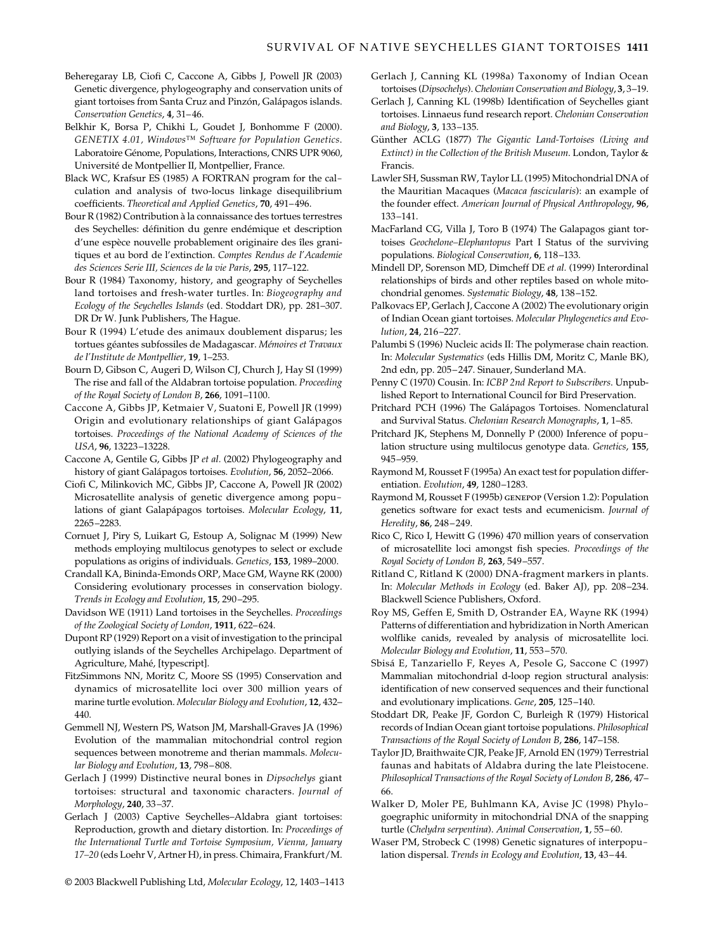- Beheregaray LB, Ciofi C, Caccone A, Gibbs J, Powell JR (2003) Genetic divergence, phylogeography and conservation units of giant tortoises from Santa Cruz and Pinzón, Galápagos islands. *Conservation Genetics*, **4**, 31–46.
- Belkhir K, Borsa P, Chikhi L, Goudet J, Bonhomme F (2000). *GENETIX 4*.*01, Windows™ Software for Population Genetics*. Laboratoire Génome, Populations, Interactions, CNRS UPR 9060, Université de Montpellier II, Montpellier, France.
- Black WC, Krafsur ES (1985) A FORTRAN program for the calculation and analysis of two-locus linkage disequilibrium coefficients. *Theoretical and Applied Genetics*, **70**, 491–496.
- Bour R (1982) Contribution à la connaissance des tortues terrestres des Seychelles: définition du genre endémique et description d'une espèce nouvelle probablement originaire des îles granitiques et au bord de l'extinction. *Comptes Rendus de l'Academie des Sciences Serie III, Sciences de la vie Paris*, **295**, 117–122.
- Bour R (1984) Taxonomy, history, and geography of Seychelles land tortoises and fresh-water turtles. In: *Biogeography and Ecology of the Seychelles Islands* (ed. Stoddart DR), pp. 281–307. DR Dr W. Junk Publishers, The Hague.
- Bour R (1994) L'etude des animaux doublement disparus; les tortues géantes subfossiles de Madagascar. *Mémoires et Travaux de l'Institute de Montpellier*, **19**, 1–253.
- Bourn D, Gibson C, Augeri D, Wilson CJ, Church J, Hay SI (1999) The rise and fall of the Aldabran tortoise population. *Proceeding of the Royal Society of London B*, **266**, 1091–1100.
- Caccone A, Gibbs JP, Ketmaier V, Suatoni E, Powell JR (1999) Origin and evolutionary relationships of giant Galápagos tortoises. *Proceedings of the National Academy of Sciences of the USA*, **96**, 13223–13228.
- Caccone A, Gentile G, Gibbs JP *et al.* (2002) Phylogeography and history of giant Galápagos tortoises. *Evolution*, **56**, 2052–2066.
- Ciofi C, Milinkovich MC, Gibbs JP, Caccone A, Powell JR (2002) Microsatellite analysis of genetic divergence among populations of giant Galapápagos tortoises. *Molecular Ecology*, **11**, 2265–2283.
- Cornuet J, Piry S, Luikart G, Estoup A, Solignac M (1999) New methods employing multilocus genotypes to select or exclude populations as origins of individuals. *Genetics*, **153**, 1989–2000.
- Crandall KA, Bininda-Emonds ORP, Mace GM, Wayne RK (2000) Considering evolutionary processes in conservation biology. *Trends in Ecology and Evolution*, **15**, 290–295.
- Davidson WE (1911) Land tortoises in the Seychelles. *Proceedings of the Zoological Society of London*, **1911**, 622–624.
- Dupont RP (1929) Report on a visit of investigation to the principal outlying islands of the Seychelles Archipelago. Department of Agriculture, Mahé, [typescript].
- FitzSimmons NN, Moritz C, Moore SS (1995) Conservation and dynamics of microsatellite loci over 300 million years of marine turtle evolution. *Molecular Biology and Evolution*, **12**, 432– 440.
- Gemmell NJ, Western PS, Watson JM, Marshall-Graves JA (1996) Evolution of the mammalian mitochondrial control region sequences between monotreme and therian mammals. *Molecular Biology and Evolution*, **13**, 798–808.
- Gerlach J (1999) Distinctive neural bones in *Dipsochelys* giant tortoises: structural and taxonomic characters. *Journal of Morphology*, **240**, 33–37.
- Gerlach J (2003) Captive Seychelles–Aldabra giant tortoises: Reproduction, growth and dietary distortion. In: *Proceedings of the International Turtle and Tortoise Symposium, Vienna, January 17–20* (eds Loehr V, Artner H), in press. Chimaira, Frankfurt/M.
- © 2003 Blackwell Publishing Ltd, *Molecular Ecology*, 12, 1403–1413
- Gerlach J, Canning KL (1998a) Taxonomy of Indian Ocean tortoises (*Dipsochelys*). *Chelonian Conservation and Biology*, **3**, 3–19.
- Gerlach J, Canning KL (1998b) Identification of Seychelles giant tortoises. Linnaeus fund research report. *Chelonian Conservation and Biology*, **3**, 133–135.
- Günther ACLG (1877) *The Gigantic Land-Tortoises (Living and Extinct) in the Collection of the British Museum*. London, Taylor & Francis.
- Lawler SH, Sussman RW, Taylor LL (1995) Mitochondrial DNA of the Mauritian Macaques (*Macaca fascicularis*): an example of the founder effect. *American Journal of Physical Anthropology*, **96**, 133–141.
- MacFarland CG, Villa J, Toro B (1974) The Galapagos giant tortoises *Geochelone–Elephantopus* Part I Status of the surviving populations. *Biological Conservation*, **6**, 118–133.
- Mindell DP, Sorenson MD, Dimcheff DE *et al.* (1999) Interordinal relationships of birds and other reptiles based on whole mitochondrial genomes. *Systematic Biology*, **48**, 138–152.
- Palkovacs EP, Gerlach J, Caccone A (2002) The evolutionary origin of Indian Ocean giant tortoises. *Molecular Phylogenetics and Evolution*, **24**, 216–227.
- Palumbi S (1996) Nucleic acids II: The polymerase chain reaction. In: *Molecular Systematics* (eds Hillis DM, Moritz C, Manle BK), 2nd edn, pp. 205–247. Sinauer, Sunderland MA.
- Penny C (1970) Cousin. In: *ICBP 2nd Report to Subscribers*. Unpublished Report to International Council for Bird Preservation.
- Pritchard PCH (1996) The Galápagos Tortoises. Nomenclatural and Survival Status. *Chelonian Research Monographs*, **1**, 1–85.
- Pritchard JK, Stephens M, Donnelly P (2000) Inference of population structure using multilocus genotype data. *Genetics*, **155**, 945–959.
- Raymond M, Rousset F (1995a) An exact test for population differentiation. *Evolution*, **49**, 1280–1283.
- Raymond M, Rousset F (1995b) genepop (Version 1.2): Population genetics software for exact tests and ecumenicism. *Journal of Heredity*, **86**, 248–249.
- Rico C, Rico I, Hewitt G (1996) 470 million years of conservation of microsatellite loci amongst fish species. *Proceedings of the Royal Society of London B*, **263**, 549–557.
- Ritland C, Ritland K (2000) DNA-fragment markers in plants. In: *Molecular Methods in Ecology* (ed. Baker AJ), pp. 208–234. Blackwell Science Publishers, Oxford.
- Roy MS, Geffen E, Smith D, Ostrander EA, Wayne RK (1994) Patterns of differentiation and hybridization in North American wolflike canids, revealed by analysis of microsatellite loci. *Molecular Biology and Evolution*, **11**, 553–570.
- Sbisá E, Tanzariello F, Reyes A, Pesole G, Saccone C (1997) Mammalian mitochondrial d-loop region structural analysis: identification of new conserved sequences and their functional and evolutionary implications. *Gene*, **205**, 125–140.
- Stoddart DR, Peake JF, Gordon C, Burleigh R (1979) Historical records of Indian Ocean giant tortoise populations. *Philosophical Transactions of the Royal Society of London B*, **286**, 147–158.
- Taylor JD, Braithwaite CJR, Peake JF, Arnold EN (1979) Terrestrial faunas and habitats of Aldabra during the late Pleistocene. *Philosophical Transactions of the Royal Society of London B*, **286**, 47– 66.
- Walker D, Moler PE, Buhlmann KA, Avise JC (1998) Phylogoegraphic uniformity in mitochondrial DNA of the snapping turtle (*Chelydra serpentina*). *Animal Conservation*, **1**, 55–60.
- Waser PM, Strobeck C (1998) Genetic signatures of interpopulation dispersal. *Trends in Ecology and Evolution*, **13**, 43–44.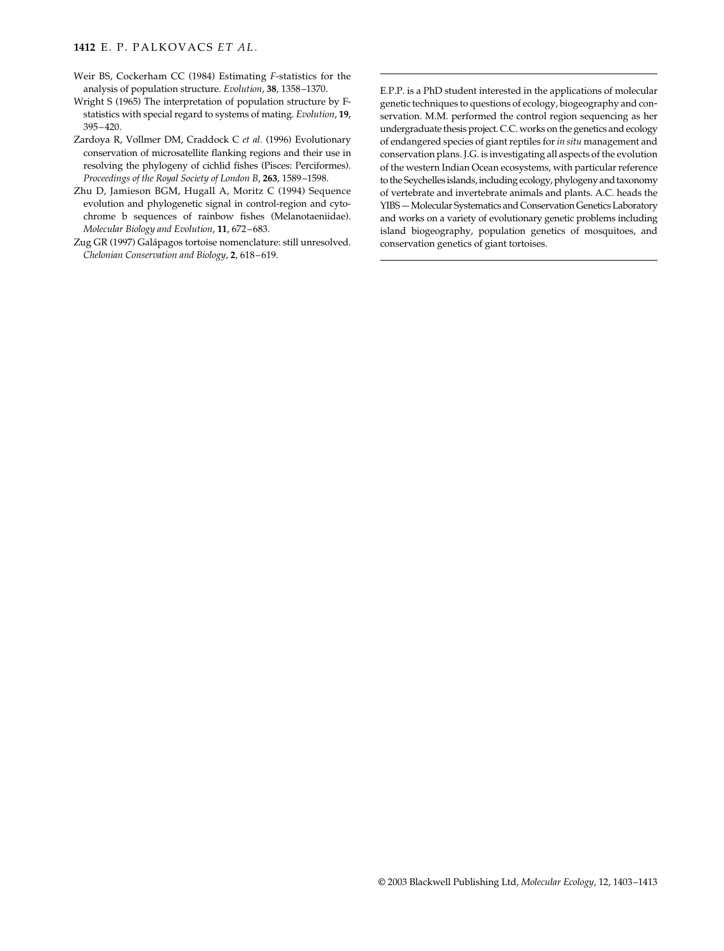#### **1412** E. P. PALKOVACS *ET AL.*

- Weir BS, Cockerham CC (1984) Estimating *F*-statistics for the analysis of population structure. *Evolution*, **38**, 1358–1370.
- Wright S (1965) The interpretation of population structure by Fstatistics with special regard to systems of mating. *Evolution*, **19**, 395–420.
- Zardoya R, Vollmer DM, Craddock C *et al.* (1996) Evolutionary conservation of microsatellite flanking regions and their use in resolving the phylogeny of cichlid fishes (Pisces: Perciformes). *Proceedings of the Royal Society of London B*, **263**, 1589–1598.
- Zhu D, Jamieson BGM, Hugall A, Moritz C (1994) Sequence evolution and phylogenetic signal in control-region and cytochrome b sequences of rainbow fishes (Melanotaeniidae). *Molecular Biology and Evolution*, **11**, 672–683.
- Zug GR (1997) Galápagos tortoise nomenclature: still unresolved. *Chelonian Conservation and Biology*, **2**, 618–619.

E.P.P. is a PhD student interested in the applications of molecular genetic techniques to questions of ecology, biogeography and conservation. M.M. performed the control region sequencing as her undergraduate thesis project. C.C. works on the genetics and ecology of endangered species of giant reptiles for *in situ* management and conservation plans. J.G. is investigating all aspects of the evolution of the western Indian Ocean ecosystems, with particular reference to the Seychelles islands, including ecology, phylogeny and taxonomy of vertebrate and invertebrate animals and plants. A.C. heads the YIBS — Molecular Systematics and Conservation Genetics Laboratory and works on a variety of evolutionary genetic problems including island biogeography, population genetics of mosquitoes, and conservation genetics of giant tortoises.